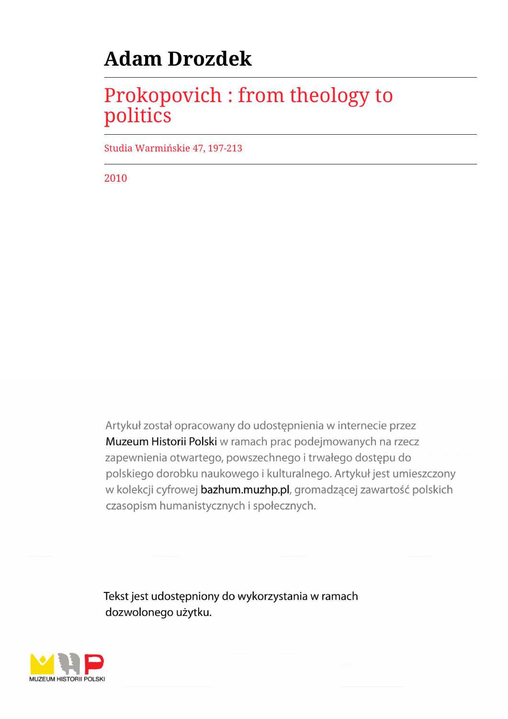# **Adam Drozdek**

## Prokopovich : from theology to politics

Studia Warmińskie 47, 197-213

2010

Artykuł został opracowany do udostępnienia w internecie przez Muzeum Historii Polski w ramach prac podejmowanych na rzecz zapewnienia otwartego, powszechnego i trwałego dostępu do polskiego dorobku naukowego i kulturalnego. Artykuł jest umieszczony w kolekcji cyfrowej bazhum.muzhp.pl, gromadzącej zawartość polskich czasopism humanistycznych i społecznych.

Tekst jest udostępniony do wykorzystania w ramach dozwolonego użytku.

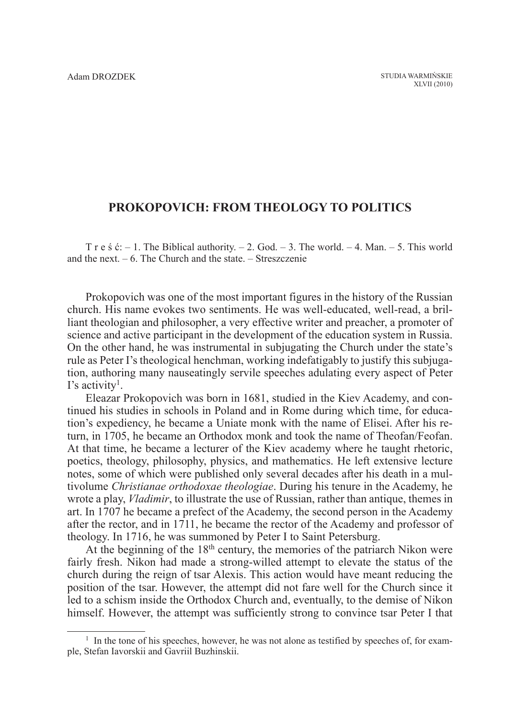## **Prokopovich: from theology to politics**

T r e s  $\acute{c}$ : – 1. The Biblical authority. – 2. God. – 3. The world. – 4. Man. – 5. This world and the next.  $-6$ . The Church and the state.  $-$  Streszczenie

Prokopovich was one of the most important figures in the history of the Russian church. His name evokes two sentiments. He was well-educated, well-read, a brilliant theologian and philosopher, a very effective writer and preacher, a promoter of science and active participant in the development of the education system in Russia. On the other hand, he was instrumental in subjugating the Church under the state's rule as Peter I's theological henchman, working indefatigably to justify this subjugation, authoring many nauseatingly servile speeches adulating every aspect of Peter  $\Gamma$ 's activity<sup>1</sup>.

Eleazar Prokopovich was born in 1681, studied in the Kiev Academy, and continued his studies in schools in Poland and in Rome during which time, for education's expediency, he became a Uniate monk with the name of Elisei. After his return, in 1705, he became an Orthodox monk and took the name of Theofan/Feofan. At that time, he became a lecturer of the Kiev academy where he taught rhetoric, poetics, theology, philosophy, physics, and mathematics. He left extensive lecture notes, some of which were published only several decades after his death in a multivolume *Christianae orthodoxae theologiae*. During his tenure in the Academy, he wrote a play, *Vladimir*, to illustrate the use of Russian, rather than antique, themes in art. In 1707 he became a prefect of the Academy, the second person in the Academy after the rector, and in 1711, he became the rector of the Academy and professor of theology. In 1716, he was summoned by Peter I to Saint Petersburg.

At the beginning of the 18<sup>th</sup> century, the memories of the patriarch Nikon were fairly fresh. Nikon had made a strong-willed attempt to elevate the status of the church during the reign of tsar Alexis. This action would have meant reducing the position of the tsar. However, the attempt did not fare well for the Church since it led to a schism inside the Orthodox Church and, eventually, to the demise of Nikon himself. However, the attempt was sufficiently strong to convince tsar Peter I that

 $<sup>1</sup>$  In the tone of his speeches, however, he was not alone as testified by speeches of, for exam-</sup> ple, Stefan Iavorskii and Gavriil Buzhinskii.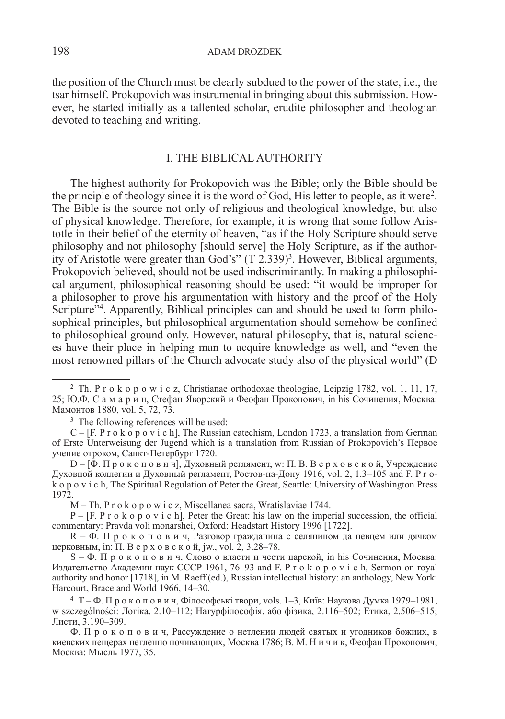the position of the Church must be clearly subdued to the power of the state, i.e., the tsar himself. Prokopovich was instrumental in bringing about this submission. However, he started initially as a tallented scholar, erudite philosopher and theologian devoted to teaching and writing.

## I. The Biblical authority

The highest authority for Prokopovich was the Bible; only the Bible should be the principle of theology since it is the word of God, His letter to people, as it were<sup>2</sup>. The Bible is the source not only of religious and theological knowledge, but also of physical knowledge. Therefore, for example, it is wrong that some follow Aristotle in their belief of the eternity of heaven, "as if the Holy Scripture should serve philosophy and not philosophy [should serve] the Holy Scripture, as if the authority of Aristotle were greater than God's"  $(T 2.339)^3$ . However, Biblical arguments, Prokopovich believed, should not be used indiscriminantly. In making a philosophical argument, philosophical reasoning should be used: "it would be improper for a philosopher to prove his argumentation with history and the proof of the Holy Scripture"<sup>4</sup>. Apparently, Biblical principles can and should be used to form philosophical principles, but philosophical argumentation should somehow be confined to philosophical ground only. However, natural philosophy, that is, natural sciences have their place in helping man to acquire knowledge as well, and "even the most renowned pillars of the Church advocate study also of the physical world" (D

<sup>3</sup> The following references will be used:

 $C - [F. P r o k o p o v i c h]$ , The Russian catechism, London 1723, a translation from German of Erste Unterweisung der Jugend which is a translation from Russian of Prokopovich's Первое учение отроком, Санкт-Петербург 1720.

D – [Ф. П р о к о п о в и ч], Духовный реглямент, w: П. В. В е р х о в с к о й, Учреждение Духовной коллегии и Духовный регламент, Ростов-на-Дону 1916, vol. 2, 1.3–105 and F. P r ok o p o v i c h, The Spiritual Regulation of Peter the Great, Seattle: University of Washington Press 1972.

M – Th. P r o k o p o w i c z, Miscellanea sacra, Wratislaviae 1744.

 $P - [F, P \, r \, o \, k \, o \, p \, o \, v \, i \, c \, h]$ , Peter the Great: his law on the imperial succession, the official commentary: Pravda voli monarshei, Oxford: Headstart History 1996 [1722].

R – Ф. П р о к о п о в и ч, Разговор гражданина с селянином да певцем или дячком церковным, in: П. В е р х о в с к о й, jw., vol. 2, 3.28–78.

S – Ф. П р о к о п о в и ч, Слово о власти и чести царской, in his Сочинения, Москва: Издательство Академии наук СССР 1961, 76–93 and F. P r o k o p o v i c h, Sermon on royal authority and honor [1718], in M. Raeff (ed.), Russian intellectual history: an anthology, New York: Harcourt, Brace and World 1966, 14–30.

<sup>4</sup> T – Ф. П р о к о п о в и ч, Філософські твори, vols. 1–3, Київ: Наукова Думка 1979–1981, w szczególności: Логіка, 2.10–112; Натурфілософія, або фізика, 2.116–502; Етика, 2.506–515; Листи, 3.190–309.

Ф. П р о к о п о в и ч, Рассуждение о нетлении людей святых и угодников божиих, в киевских пещерах нетленно почивающих, Москва 1786; В. М. Н и ч и к, Феофан Прокопович, Москва: Мысль 1977, 35.

<sup>&</sup>lt;sup>2</sup> Th. P r o k o p o w i c z, Christianae orthodoxae theologiae, Leipzig 1782, vol. 1, 11, 17, 25; Ю.Ф. С а м а р и н, Стефан Яворский и Феофан Прокопович, in his Сочинения, Москва: Мамонтов 1880, vol. 5, 72, 73.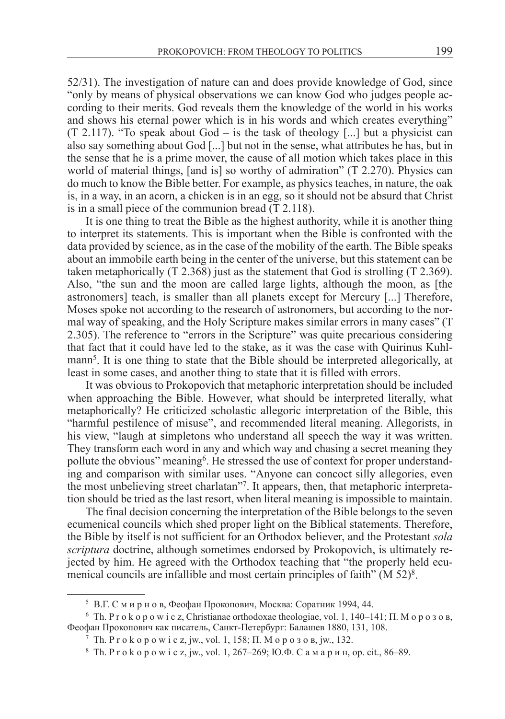52/31). The investigation of nature can and does provide knowledge of God, since "only by means of physical observations we can know God who judges people according to their merits. God reveals them the knowledge of the world in his works and shows his eternal power which is in his words and which creates everything"  $(T \ 2.117)$ . "To speak about God – is the task of theology [...] but a physicist can also say something about God [...] but not in the sense, what attributes he has, but in the sense that he is a prime mover, the cause of all motion which takes place in this world of material things, [and is] so worthy of admiration" (T 2.270). Physics can do much to know the Bible better. For example, as physics teaches, in nature, the oak is, in a way, in an acorn, a chicken is in an egg, so it should not be absurd that Christ is in a small piece of the communion bread (T 2.118).

It is one thing to treat the Bible as the highest authority, while it is another thing to interpret its statements. This is important when the Bible is confronted with the data provided by science, as in the case of the mobility of the earth. The Bible speaks about an immobile earth being in the center of the universe, but this statement can be taken metaphorically (T 2.368) just as the statement that God is strolling (T 2.369). Also, "the sun and the moon are called large lights, although the moon, as [the astronomers] teach, is smaller than all planets except for Mercury [...] Therefore, Moses spoke not according to the research of astronomers, but according to the normal way of speaking, and the Holy Scripture makes similar errors in many cases" (T 2.305). The reference to "errors in the Scripture" was quite precarious considering that fact that it could have led to the stake, as it was the case with Quirinus Kuhlmann<sup>5</sup>. It is one thing to state that the Bible should be interpreted allegorically, at least in some cases, and another thing to state that it is filled with errors.

It was obvious to Prokopovich that metaphoric interpretation should be included when approaching the Bible. However, what should be interpreted literally, what metaphorically? He criticized scholastic allegoric interpretation of the Bible, this "harmful pestilence of misuse", and recommended literal meaning. Allegorists, in his view, "laugh at simpletons who understand all speech the way it was written. They transform each word in any and which way and chasing a secret meaning they pollute the obvious" meaning<sup>6</sup>. He stressed the use of context for proper understanding and comparison with similar uses. "Anyone can concoct silly allegories, even the most unbelieving street charlatan"7 . It appears, then, that metaphoric interpretation should be tried as the last resort, when literal meaning is impossible to maintain.

The final decision concerning the interpretation of the Bible belongs to the seven ecumenical councils which shed proper light on the Biblical statements. Therefore, the Bible by itself is not sufficient for an Orthodox believer, and the Protestant *sola scriptura* doctrine, although sometimes endorsed by Prokopovich, is ultimately rejected by him. He agreed with the Orthodox teaching that "the properly held ecumenical councils are infallible and most certain principles of faith" (M 52)<sup>8</sup>.

<sup>5</sup> В.Г. С м и р н о в, Феофан Прокопович, Москва: Соратник 1994, 44.

<sup>&</sup>lt;sup>6</sup> Th. P r o k o p o w i c z, Christianae orthodoxae theologiae, vol. 1, 140–141;  $\Pi$ . M o p o 3 o B, Феофан Прокопович как писатель, Санкт-Петербург: Балашев 1880, 131, 108.

 $7$  Th. P r o k o p o w i c z, jw., vol. 1, 158; П. М о р о з о в, jw., 132.

<sup>8</sup> Th. P r o k o p o w i c z, jw., vol. 1, 267–269; Ю.Ф. С а м а р и н, op. cit., 86–89.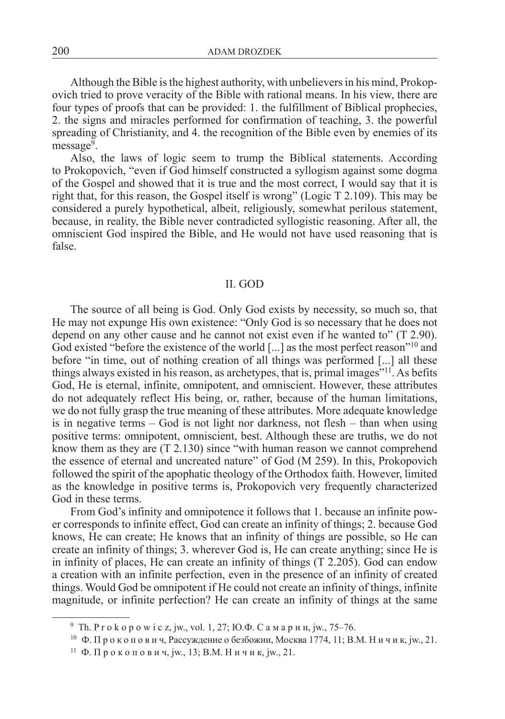Although the Bible is the highest authority, with unbelievers in his mind, Prokopovich tried to prove veracity of the Bible with rational means. In his view, there are four types of proofs that can be provided: 1. the fulfillment of Biblical prophecies, 2. the signs and miracles performed for confirmation of teaching, 3. the powerful spreading of Christianity, and 4. the recognition of the Bible even by enemies of its  $mess a \cdot e^9$ .

Also, the laws of logic seem to trump the Biblical statements. According to Prokopovich, "even if God himself constructed a syllogism against some dogma of the Gospel and showed that it is true and the most correct, I would say that it is right that, for this reason, the Gospel itself is wrong" (Logic T 2.109). This may be considered a purely hypothetical, albeit, religiously, somewhat perilous statement, because, in reality, the Bible never contradicted syllogistic reasoning. After all, the omniscient God inspired the Bible, and He would not have used reasoning that is false.

## II. God

The source of all being is God. Only God exists by necessity, so much so, that He may not expunge His own existence: "Only God is so necessary that he does not depend on any other cause and he cannot not exist even if he wanted to" (T 2.90). God existed "before the existence of the world [...] as the most perfect reason"<sup>10</sup> and before "in time, out of nothing creation of all things was performed [...] all these things always existed in his reason, as archetypes, that is, primal images<sup>"11</sup>. As befits God, He is eternal, infinite, omnipotent, and omniscient. However, these attributes do not adequately reflect His being, or, rather, because of the human limitations, we do not fully grasp the true meaning of these attributes. More adequate knowledge is in negative terms – God is not light nor darkness, not flesh – than when using positive terms: omnipotent, omniscient, best. Although these are truths, we do not know them as they are (T 2.130) since "with human reason we cannot comprehend the essence of eternal and uncreated nature" of God (M 259). In this, Prokopovich followed the spirit of the apophatic theology of the Orthodox faith. However, limited as the knowledge in positive terms is, Prokopovich very frequently characterized God in these terms.

From God's infinity and omnipotence it follows that 1. because an infinite power corresponds to infinite effect, God can create an infinity of things; 2. because God knows, He can create; He knows that an infinity of things are possible, so He can create an infinity of things; 3. wherever God is, He can create anything; since He is in infinity of places, He can create an infinity of things (T 2.205). God can endow a creation with an infinite perfection, even in the presence of an infinity of created things. Would God be omnipotent if He could not create an infinity of things, infinite magnitude, or infinite perfection? He can create an infinity of things at the same

<sup>&</sup>lt;sup>9</sup> Th. P r o k o p o w i c z, jw., vol. 1, 27; Ю.Ф. С а м а р и н, jw., 75–76.

 $10$  Ф. Прокопович, Рассуждение о безбожии, Москва 1774, 11; В.М. Ничик, jw., 21.

<sup>&</sup>lt;sup>11</sup> Ф. Прокопович, jw., 13; В.М. Ничик, jw., 21.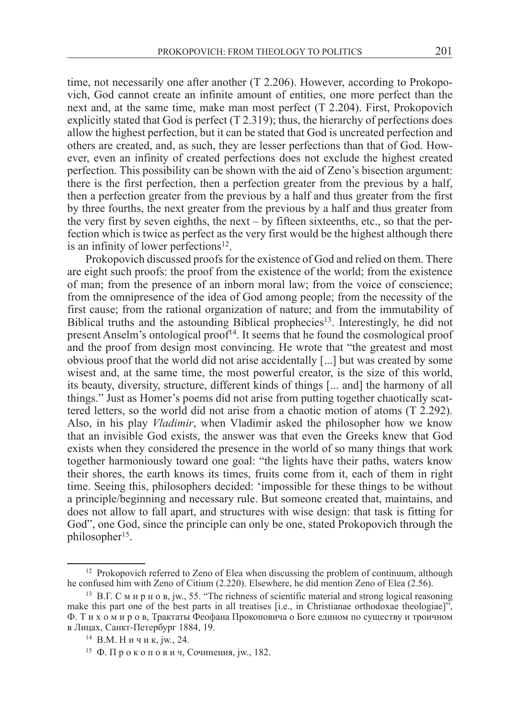time, not necessarily one after another (T 2.206). However, according to Prokopovich, God cannot create an infinite amount of entities, one more perfect than the next and, at the same time, make man most perfect (T 2.204). First, Prokopovich explicitly stated that God is perfect  $(T 2.319)$ ; thus, the hierarchy of perfections does allow the highest perfection, but it can be stated that God is uncreated perfection and others are created, and, as such, they are lesser perfections than that of God. However, even an infinity of created perfections does not exclude the highest created perfection. This possibility can be shown with the aid of Zeno's bisection argument: there is the first perfection, then a perfection greater from the previous by a half, then a perfection greater from the previous by a half and thus greater from the first by three fourths, the next greater from the previous by a half and thus greater from the very first by seven eighths, the next – by fifteen sixteenths, etc., so that the perfection which is twice as perfect as the very first would be the highest although there is an infinity of lower perfections $12$ .

Prokopovich discussed proofs for the existence of God and relied on them. There are eight such proofs: the proof from the existence of the world; from the existence of man; from the presence of an inborn moral law; from the voice of conscience; from the omnipresence of the idea of God among people; from the necessity of the first cause; from the rational organization of nature; and from the immutability of Biblical truths and the astounding Biblical prophecies<sup>13</sup>. Interestingly, he did not present Anselm's ontological proof<sup>14</sup>. It seems that he found the cosmological proof and the proof from design most convincing. He wrote that "the greatest and most obvious proof that the world did not arise accidentally [...] but was created by some wisest and, at the same time, the most powerful creator, is the size of this world, its beauty, diversity, structure, different kinds of things [... and] the harmony of all things." Just as Homer's poems did not arise from putting together chaotically scattered letters, so the world did not arise from a chaotic motion of atoms (T 2.292). Also, in his play *Vladimir*, when Vladimir asked the philosopher how we know that an invisible God exists, the answer was that even the Greeks knew that God exists when they considered the presence in the world of so many things that work together harmoniously toward one goal: "the lights have their paths, waters know their shores, the earth knows its times, fruits come from it, each of them in right time. Seeing this, philosophers decided: 'impossible for these things to be without a principle/beginning and necessary rule. But someone created that, maintains, and does not allow to fall apart, and structures with wise design: that task is fitting for God", one God, since the principle can only be one, stated Prokopovich through the philosopher<sup>15</sup>.

<sup>&</sup>lt;sup>12</sup> Prokopovich referred to Zeno of Elea when discussing the problem of continuum, although he confused him with Zeno of Citium (2.220). Elsewhere, he did mention Zeno of Elea (2.56).

<sup>13</sup> В.Г. С м и р н о в, jw., 55. "The richness of scientific material and strong logical reasoning make this part one of the best parts in all treatises [i.e., in Christianae orthodoxae theologiae]", Ф. Т и х о м и р о в, Трактаты Феофана Прокоповича о Боге едином по существу и троичном в Лицах, Санкт-Петербург 1884, 19.

<sup>14</sup> В.М. Н и ч и к, jw., 24.

<sup>15</sup> Ф. П р о к о п о в и ч, Сочинения, jw., 182.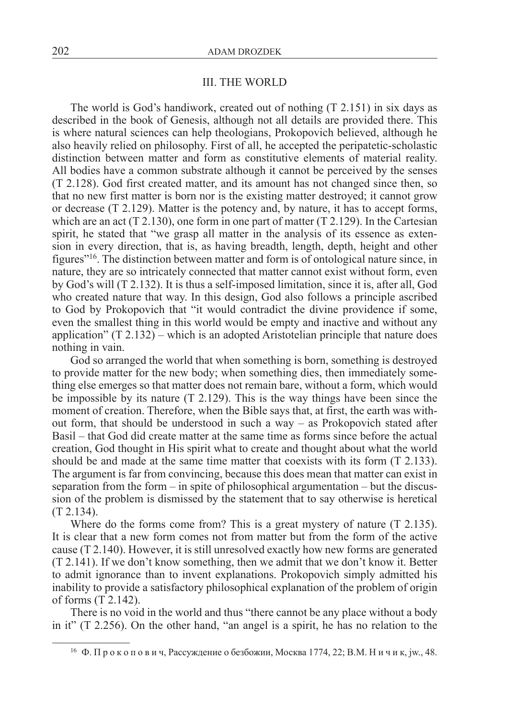#### III. THE WORLD

The world is God's handiwork, created out of nothing (T 2.151) in six days as described in the book of Genesis, although not all details are provided there. This is where natural sciences can help theologians, Prokopovich believed, although he also heavily relied on philosophy. First of all, he accepted the peripatetic-scholastic distinction between matter and form as constitutive elements of material reality. All bodies have a common substrate although it cannot be perceived by the senses (T 2.128). God first created matter, and its amount has not changed since then, so that no new first matter is born nor is the existing matter destroyed; it cannot grow or decrease (T 2.129). Matter is the potency and, by nature, it has to accept forms, which are an act  $(T 2.130)$ , one form in one part of matter  $(T 2.129)$ . In the Cartesian spirit, he stated that "we grasp all matter in the analysis of its essence as extension in every direction, that is, as having breadth, length, depth, height and other figures"16. The distinction between matter and form is of ontological nature since, in nature, they are so intricately connected that matter cannot exist without form, even by God's will (T 2.132). It is thus a self-imposed limitation, since it is, after all, God who created nature that way. In this design, God also follows a principle ascribed to God by Prokopovich that "it would contradict the divine providence if some, even the smallest thing in this world would be empty and inactive and without any application"  $(T 2.132)$  – which is an adopted Aristotelian principle that nature does nothing in vain.

God so arranged the world that when something is born, something is destroyed to provide matter for the new body; when something dies, then immediately something else emerges so that matter does not remain bare, without a form, which would be impossible by its nature (T 2.129). This is the way things have been since the moment of creation. Therefore, when the Bible says that, at first, the earth was without form, that should be understood in such a way – as Prokopovich stated after Basil – that God did create matter at the same time as forms since before the actual creation, God thought in His spirit what to create and thought about what the world should be and made at the same time matter that coexists with its form (T 2.133). The argument is far from convincing, because this does mean that matter can exist in separation from the form – in spite of philosophical argumentation – but the discussion of the problem is dismissed by the statement that to say otherwise is heretical (T 2.134).

Where do the forms come from? This is a great mystery of nature (T 2.135). It is clear that a new form comes not from matter but from the form of the active cause (T 2.140). However, it is still unresolved exactly how new forms are generated (T 2.141). If we don't know something, then we admit that we don't know it. Better to admit ignorance than to invent explanations. Prokopovich simply admitted his inability to provide a satisfactory philosophical explanation of the problem of origin of forms (T 2.142).

There is no void in the world and thus "there cannot be any place without a body in it" (T 2.256). On the other hand, "an angel is a spirit, he has no relation to the

<sup>16</sup> Ф. П р о к о п о в и ч, Рассуждение о безбожии, Москва 1774, 22; B.M. Н и ч и к, jw., 48.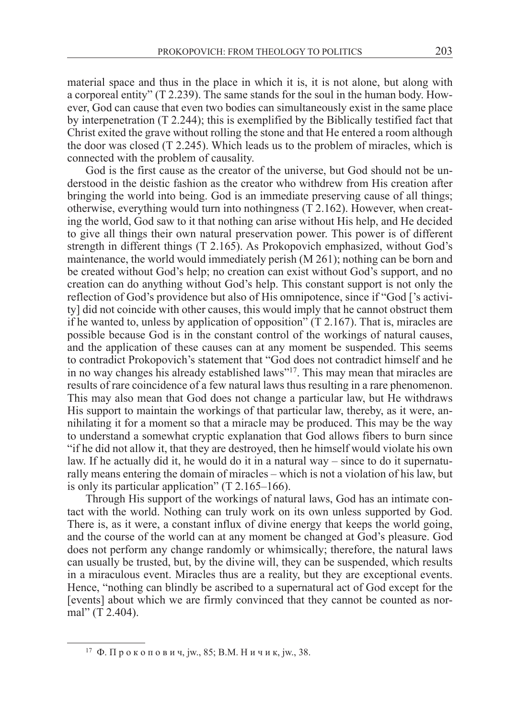material space and thus in the place in which it is, it is not alone, but along with a corporeal entity" (T 2.239). The same stands for the soul in the human body. However, God can cause that even two bodies can simultaneously exist in the same place by interpenetration (T 2.244); this is exemplified by the Biblically testified fact that Christ exited the grave without rolling the stone and that He entered a room although the door was closed  $(T\ 2.245)$ . Which leads us to the problem of miracles, which is connected with the problem of causality.

God is the first cause as the creator of the universe, but God should not be understood in the deistic fashion as the creator who withdrew from His creation after bringing the world into being. God is an immediate preserving cause of all things; otherwise, everything would turn into nothingness (T 2.162). However, when creating the world, God saw to it that nothing can arise without His help, and He decided to give all things their own natural preservation power. This power is of different strength in different things (T 2.165). As Prokopovich emphasized, without God's maintenance, the world would immediately perish (M 261); nothing can be born and be created without God's help; no creation can exist without God's support, and no creation can do anything without God's help. This constant support is not only the reflection of God's providence but also of His omnipotence, since if "God ['s activity] did not coincide with other causes, this would imply that he cannot obstruct them if he wanted to, unless by application of opposition" (T 2.167). That is, miracles are possible because God is in the constant control of the workings of natural causes, and the application of these causes can at any moment be suspended. This seems to contradict Prokopovich's statement that "God does not contradict himself and he in no way changes his already established laws"17. This may mean that miracles are results of rare coincidence of a few natural laws thus resulting in a rare phenomenon. This may also mean that God does not change a particular law, but He withdraws His support to maintain the workings of that particular law, thereby, as it were, annihilating it for a moment so that a miracle may be produced. This may be the way to understand a somewhat cryptic explanation that God allows fibers to burn since "if he did not allow it, that they are destroyed, then he himself would violate his own law. If he actually did it, he would do it in a natural way – since to do it supernaturally means entering the domain of miracles – which is not a violation of his law, but is only its particular application" (T 2.165–166).

Through His support of the workings of natural laws, God has an intimate contact with the world. Nothing can truly work on its own unless supported by God. There is, as it were, a constant influx of divine energy that keeps the world going, and the course of the world can at any moment be changed at God's pleasure. God does not perform any change randomly or whimsically; therefore, the natural laws can usually be trusted, but, by the divine will, they can be suspended, which results in a miraculous event. Miracles thus are a reality, but they are exceptional events. Hence, "nothing can blindly be ascribed to a supernatural act of God except for the [events] about which we are firmly convinced that they cannot be counted as normal" (T 2.404).

<sup>17</sup> Ф. П р о к о п о в и ч, jw., 85; B.M. Н и ч и к, jw., 38.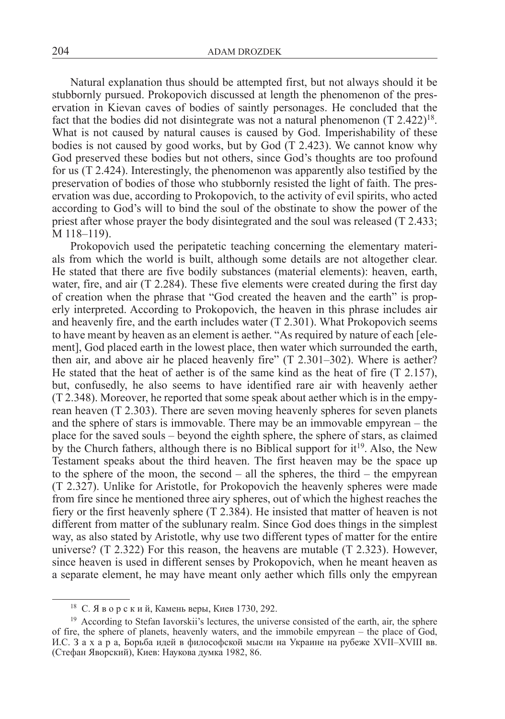Natural explanation thus should be attempted first, but not always should it be stubbornly pursued. Prokopovich discussed at length the phenomenon of the preservation in Kievan caves of bodies of saintly personages. He concluded that the fact that the bodies did not disintegrate was not a natural phenomenon  $(T 2.422)^{18}$ . What is not caused by natural causes is caused by God. Imperishability of these bodies is not caused by good works, but by God  $(T 2.423)$ . We cannot know why God preserved these bodies but not others, since God's thoughts are too profound for us (T 2.424). Interestingly, the phenomenon was apparently also testified by the preservation of bodies of those who stubbornly resisted the light of faith. The preservation was due, according to Prokopovich, to the activity of evil spirits, who acted according to God's will to bind the soul of the obstinate to show the power of the priest after whose prayer the body disintegrated and the soul was released (T 2.433; M 118–119).

Prokopovich used the peripatetic teaching concerning the elementary materials from which the world is built, although some details are not altogether clear. He stated that there are five bodily substances (material elements): heaven, earth, water, fire, and air (T 2.284). These five elements were created during the first day of creation when the phrase that "God created the heaven and the earth" is properly interpreted. According to Prokopovich, the heaven in this phrase includes air and heavenly fire, and the earth includes water (T 2.301). What Prokopovich seems to have meant by heaven as an element is aether. "As required by nature of each [element], God placed earth in the lowest place, then water which surrounded the earth, then air, and above air he placed heavenly fire" (T 2.301–302). Where is aether? He stated that the heat of aether is of the same kind as the heat of fire  $(T 2.157)$ , but, confusedly, he also seems to have identified rare air with heavenly aether (T 2.348). Moreover, he reported that some speak about aether which is in the empyrean heaven (T 2.303). There are seven moving heavenly spheres for seven planets and the sphere of stars is immovable. There may be an immovable empyrean – the place for the saved souls – beyond the eighth sphere, the sphere of stars, as claimed by the Church fathers, although there is no Biblical support for  $it^{19}$ . Also, the New Testament speaks about the third heaven. The first heaven may be the space up to the sphere of the moon, the second – all the spheres, the third – the empyrean (T 2.327). Unlike for Aristotle, for Prokopovich the heavenly spheres were made from fire since he mentioned three airy spheres, out of which the highest reaches the fiery or the first heavenly sphere (T 2.384). He insisted that matter of heaven is not different from matter of the sublunary realm. Since God does things in the simplest way, as also stated by Aristotle, why use two different types of matter for the entire universe? (T 2.322) For this reason, the heavens are mutable (T 2.323). However, since heaven is used in different senses by Prokopovich, when he meant heaven as a separate element, he may have meant only aether which fills only the empyrean

<sup>18</sup> С. Я в о р с к и й, Камень веры, Киев 1730, 292.

<sup>&</sup>lt;sup>19</sup> According to Stefan Iavorskii's lectures, the universe consisted of the earth, air, the sphere of fire, the sphere of planets, heavenly waters, and the immobile empyrean – the place of God, И.С. З а х а р а, Борьба идей в философской мысли на Украине на рубеже XVII–XVIII вв. (Стефан Яворский), Киев: Наукова думка 1982, 86.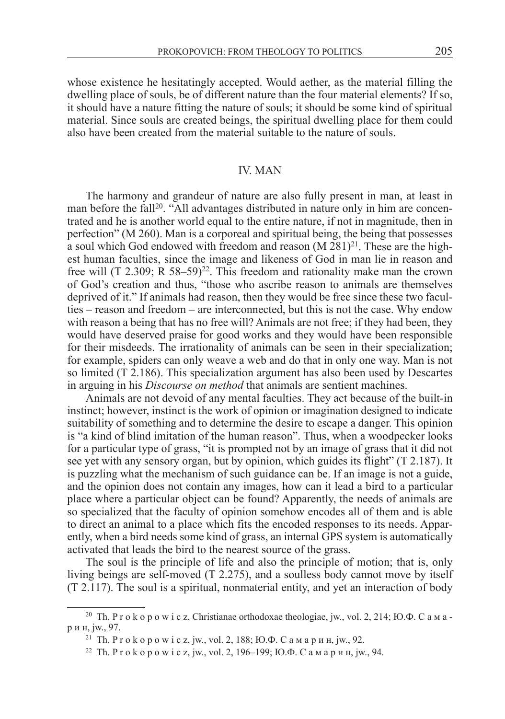whose existence he hesitatingly accepted. Would aether, as the material filling the dwelling place of souls, be of different nature than the four material elements? If so, it should have a nature fitting the nature of souls; it should be some kind of spiritual material. Since souls are created beings, the spiritual dwelling place for them could also have been created from the material suitable to the nature of souls.

## **IV. MAN**

The harmony and grandeur of nature are also fully present in man, at least in man before the fall<sup>20</sup>. "All advantages distributed in nature only in him are concentrated and he is another world equal to the entire nature, if not in magnitude, then in perfection" (M 260). Man is a corporeal and spiritual being, the being that possesses a soul which God endowed with freedom and reason  $(M 281)^{21}$ . These are the highest human faculties, since the image and likeness of God in man lie in reason and free will (T 2.309; R  $58-59$ )<sup>22</sup>. This freedom and rationality make man the crown of God's creation and thus, "those who ascribe reason to animals are themselves deprived of it." If animals had reason, then they would be free since these two faculties – reason and freedom – are interconnected, but this is not the case. Why endow with reason a being that has no free will? Animals are not free; if they had been, they would have deserved praise for good works and they would have been responsible for their misdeeds. The irrationality of animals can be seen in their specialization; for example, spiders can only weave a web and do that in only one way. Man is not so limited (T 2.186). This specialization argument has also been used by Descartes in arguing in his *Discourse on method* that animals are sentient machines.

Animals are not devoid of any mental faculties. They act because of the built-in instinct; however, instinct is the work of opinion or imagination designed to indicate suitability of something and to determine the desire to escape a danger. This opinion is "a kind of blind imitation of the human reason". Thus, when a woodpecker looks for a particular type of grass, "it is prompted not by an image of grass that it did not see yet with any sensory organ, but by opinion, which guides its flight" (T 2.187). It is puzzling what the mechanism of such guidance can be. If an image is not a guide, and the opinion does not contain any images, how can it lead a bird to a particular place where a particular object can be found? Apparently, the needs of animals are so specialized that the faculty of opinion somehow encodes all of them and is able to direct an animal to a place which fits the encoded responses to its needs. Apparently, when a bird needs some kind of grass, an internal GPS system is automatically activated that leads the bird to the nearest source of the grass.

The soul is the principle of life and also the principle of motion; that is, only living beings are self-moved (T 2.275), and a soulless body cannot move by itself (T 2.117). The soul is a spiritual, nonmaterial entity, and yet an interaction of body

<sup>&</sup>lt;sup>20</sup> Th. P r o k o p o w i c z, Christianae orthodoxae theologiae, jw., vol. 2, 214; IO. $\Phi$ . C a M a р и н, jw., 97.

<sup>&</sup>lt;sup>21</sup> Th. P r o k o p o w i c z, jw., vol. 2, 188; Ю.Ф. С а м а р и н, jw., 92.

<sup>&</sup>lt;sup>22</sup> Th. P r o k o p o w i c z, jw., vol. 2, 196–199; Ю.Ф. С а м а р и н, jw., 94.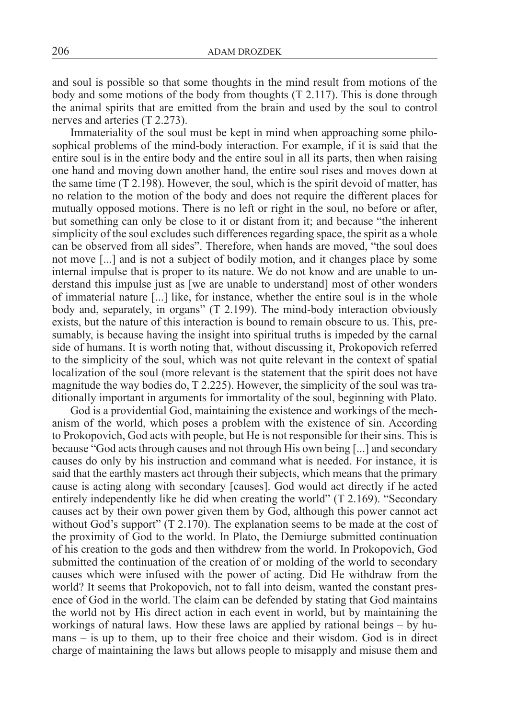and soul is possible so that some thoughts in the mind result from motions of the body and some motions of the body from thoughts (T 2.117). This is done through the animal spirits that are emitted from the brain and used by the soul to control nerves and arteries (T 2.273).

Immateriality of the soul must be kept in mind when approaching some philosophical problems of the mind-body interaction. For example, if it is said that the entire soul is in the entire body and the entire soul in all its parts, then when raising one hand and moving down another hand, the entire soul rises and moves down at the same time  $(T 2.198)$ . However, the soul, which is the spirit devoid of matter, has no relation to the motion of the body and does not require the different places for mutually opposed motions. There is no left or right in the soul, no before or after, but something can only be close to it or distant from it; and because "the inherent simplicity of the soul excludes such differences regarding space, the spirit as a whole can be observed from all sides". Therefore, when hands are moved, "the soul does not move [...] and is not a subject of bodily motion, and it changes place by some internal impulse that is proper to its nature. We do not know and are unable to understand this impulse just as [we are unable to understand] most of other wonders of immaterial nature [...] like, for instance, whether the entire soul is in the whole body and, separately, in organs" (T 2.199). The mind-body interaction obviously exists, but the nature of this interaction is bound to remain obscure to us. This, presumably, is because having the insight into spiritual truths is impeded by the carnal side of humans. It is worth noting that, without discussing it, Prokopovich referred to the simplicity of the soul, which was not quite relevant in the context of spatial localization of the soul (more relevant is the statement that the spirit does not have magnitude the way bodies do, T 2.225). However, the simplicity of the soul was traditionally important in arguments for immortality of the soul, beginning with Plato.

God is a providential God, maintaining the existence and workings of the mechanism of the world, which poses a problem with the existence of sin. According to Prokopovich, God acts with people, but He is not responsible for their sins. This is because "God acts through causes and not through His own being [...] and secondary causes do only by his instruction and command what is needed. For instance, it is said that the earthly masters act through their subjects, which means that the primary cause is acting along with secondary [causes]. God would act directly if he acted entirely independently like he did when creating the world" (T 2.169). "Secondary causes act by their own power given them by God, although this power cannot act without God's support" (T 2.170). The explanation seems to be made at the cost of the proximity of God to the world. In Plato, the Demiurge submitted continuation of his creation to the gods and then withdrew from the world. In Prokopovich, God submitted the continuation of the creation of or molding of the world to secondary causes which were infused with the power of acting. Did He withdraw from the world? It seems that Prokopovich, not to fall into deism, wanted the constant presence of God in the world. The claim can be defended by stating that God maintains the world not by His direct action in each event in world, but by maintaining the workings of natural laws. How these laws are applied by rational beings – by humans – is up to them, up to their free choice and their wisdom. God is in direct charge of maintaining the laws but allows people to misapply and misuse them and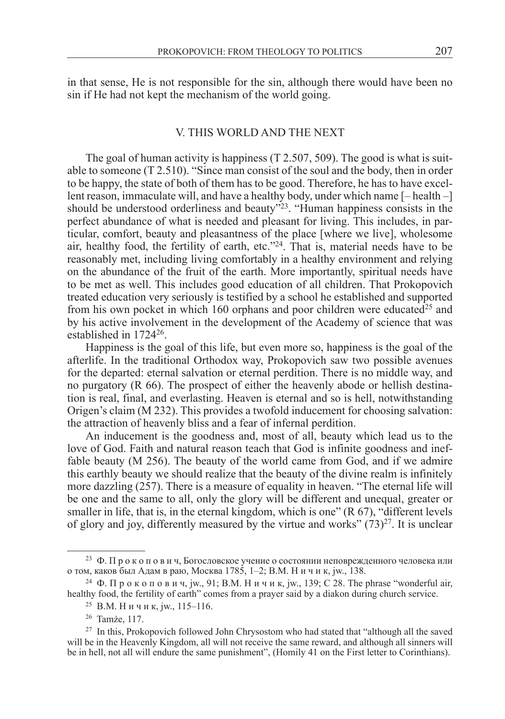in that sense, He is not responsible for the sin, although there would have been no sin if He had not kept the mechanism of the world going.

## V. This world and the next

The goal of human activity is happiness (T 2.507, 509). The good is what is suitable to someone (T 2.510). "Since man consist of the soul and the body, then in order to be happy, the state of both of them has to be good. Therefore, he has to have excellent reason, immaculate will, and have a healthy body, under which name [– health –] should be understood orderliness and beauty<sup>323</sup>. "Human happiness consists in the perfect abundance of what is needed and pleasant for living. This includes, in particular, comfort, beauty and pleasantness of the place [where we live], wholesome air, healthy food, the fertility of earth, etc."24. That is, material needs have to be reasonably met, including living comfortably in a healthy environment and relying on the abundance of the fruit of the earth. More importantly, spiritual needs have to be met as well. This includes good education of all children. That Prokopovich treated education very seriously is testified by a school he established and supported from his own pocket in which 160 orphans and poor children were educated<sup>25</sup> and by his active involvement in the development of the Academy of science that was established in 172426.

Happiness is the goal of this life, but even more so, happiness is the goal of the afterlife. In the traditional Orthodox way, Prokopovich saw two possible avenues for the departed: eternal salvation or eternal perdition. There is no middle way, and no purgatory (R 66). The prospect of either the heavenly abode or hellish destination is real, final, and everlasting. Heaven is eternal and so is hell, notwithstanding Origen's claim (M 232). This provides a twofold inducement for choosing salvation: the attraction of heavenly bliss and a fear of infernal perdition.

An inducement is the goodness and, most of all, beauty which lead us to the love of God. Faith and natural reason teach that God is infinite goodness and ineffable beauty (M 256). The beauty of the world came from God, and if we admire this earthly beauty we should realize that the beauty of the divine realm is infinitely more dazzling (257). There is a measure of equality in heaven. "The eternal life will be one and the same to all, only the glory will be different and unequal, greater or smaller in life, that is, in the eternal kingdom, which is one" (R 67), "different levels of glory and joy, differently measured by the virtue and works"  $(73)^{27}$ . It is unclear

<sup>&</sup>lt;sup>23</sup> Ф. Прокопович, Богословское учение о состоянии неповрежденного человека или о том, каков был Адам в раю, Москва 1785, 1–2; B.M. Н и ч и к, jw., 138.

<sup>&</sup>lt;sup>24</sup> Ф. Прокопович, jw., 91; В.М. Ничик, jw., 139; С 28. The phrase "wonderful air, healthy food, the fertility of earth" comes from a prayer said by a diakon during church service.

<sup>25</sup> B.M. Н и ч и к, jw., 115–116.

<sup>26</sup> Tamże, 117.

<sup>&</sup>lt;sup>27</sup> In this, Prokopovich followed John Chrysostom who had stated that "although all the saved will be in the Heavenly Kingdom, all will not receive the same reward, and although all sinners will be in hell, not all will endure the same punishment", (Homily 41 on the First letter to Corinthians).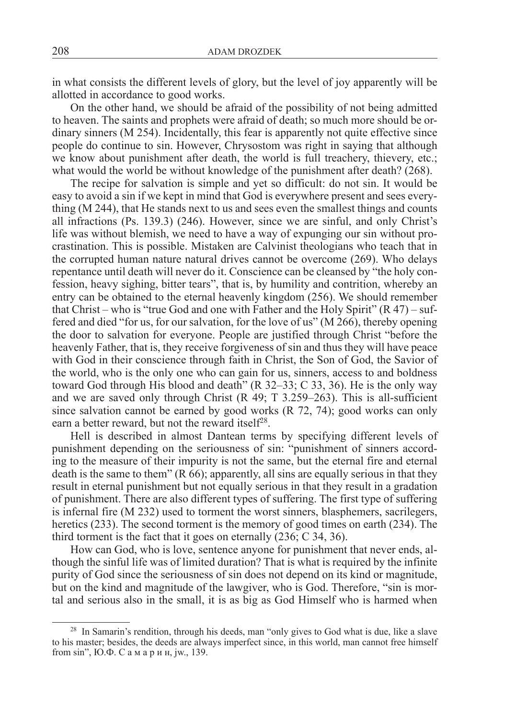in what consists the different levels of glory, but the level of joy apparently will be allotted in accordance to good works.

On the other hand, we should be afraid of the possibility of not being admitted to heaven. The saints and prophets were afraid of death; so much more should be ordinary sinners (M 254). Incidentally, this fear is apparently not quite effective since people do continue to sin. However, Chrysostom was right in saying that although we know about punishment after death, the world is full treachery, thievery, etc.; what would the world be without knowledge of the punishment after death? (268).

The recipe for salvation is simple and yet so difficult: do not sin. It would be easy to avoid a sin if we kept in mind that God is everywhere present and sees everything (M 244), that He stands next to us and sees even the smallest things and counts all infractions (Ps. 139.3) (246). However, since we are sinful, and only Christ's life was without blemish, we need to have a way of expunging our sin without procrastination. This is possible. Mistaken are Calvinist theologians who teach that in the corrupted human nature natural drives cannot be overcome (269). Who delays repentance until death will never do it. Conscience can be cleansed by "the holy confession, heavy sighing, bitter tears", that is, by humility and contrition, whereby an entry can be obtained to the eternal heavenly kingdom (256). We should remember that Christ – who is "true God and one with Father and the Holy Spirit"  $(R 47)$  – suffered and died "for us, for our salvation, for the love of us" (M 266), thereby opening the door to salvation for everyone. People are justified through Christ "before the heavenly Father, that is, they receive forgiveness of sin and thus they will have peace with God in their conscience through faith in Christ, the Son of God, the Savior of the world, who is the only one who can gain for us, sinners, access to and boldness toward God through His blood and death"  $(R\ 32-33; C\ 33, 36)$ . He is the only way and we are saved only through Christ (R 49; T 3.259–263). This is all-sufficient since salvation cannot be earned by good works (R 72, 74); good works can only earn a better reward, but not the reward itself<sup>28</sup>.

Hell is described in almost Dantean terms by specifying different levels of punishment depending on the seriousness of sin: "punishment of sinners according to the measure of their impurity is not the same, but the eternal fire and eternal death is the same to them"  $(R\ 66)$ ; apparently, all sins are equally serious in that they result in eternal punishment but not equally serious in that they result in a gradation of punishment. There are also different types of suffering. The first type of suffering is infernal fire (M 232) used to torment the worst sinners, blasphemers, sacrilegers, heretics (233). The second torment is the memory of good times on earth (234). The third torment is the fact that it goes on eternally (236; C 34, 36).

How can God, who is love, sentence anyone for punishment that never ends, although the sinful life was of limited duration? That is what is required by the infinite purity of God since the seriousness of sin does not depend on its kind or magnitude, but on the kind and magnitude of the lawgiver, who is God. Therefore, "sin is mortal and serious also in the small, it is as big as God Himself who is harmed when

<sup>&</sup>lt;sup>28</sup> In Samarin's rendition, through his deeds, man "only gives to God what is due, like a slave to his master; besides, the deeds are always imperfect since, in this world, man cannot free himself from sin", Ю.Ф. С а м а р и н, jw., 139.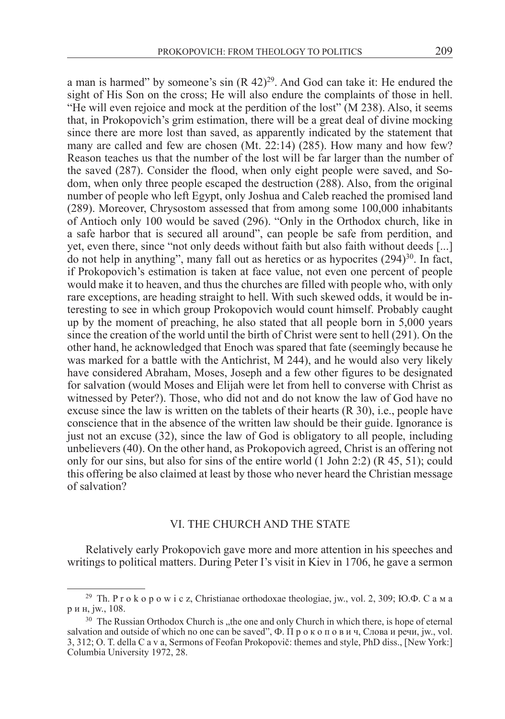a man is harmed" by someone's sin  $(R 42)^{29}$ . And God can take it: He endured the sight of His Son on the cross; He will also endure the complaints of those in hell. "He will even rejoice and mock at the perdition of the lost" (M 238). Also, it seems that, in Prokopovich's grim estimation, there will be a great deal of divine mocking since there are more lost than saved, as apparently indicated by the statement that many are called and few are chosen (Mt. 22:14) (285). How many and how few? Reason teaches us that the number of the lost will be far larger than the number of the saved (287). Consider the flood, when only eight people were saved, and Sodom, when only three people escaped the destruction (288). Also, from the original number of people who left Egypt, only Joshua and Caleb reached the promised land (289). Moreover, Chrysostom assessed that from among some 100,000 inhabitants of Antioch only 100 would be saved (296). "Only in the Orthodox church, like in a safe harbor that is secured all around", can people be safe from perdition, and yet, even there, since "not only deeds without faith but also faith without deeds [...] do not help in anything", many fall out as heretics or as hypocrites (294)<sup>30</sup>. In fact, if Prokopovich's estimation is taken at face value, not even one percent of people would make it to heaven, and thus the churches are filled with people who, with only rare exceptions, are heading straight to hell. With such skewed odds, it would be interesting to see in which group Prokopovich would count himself. Probably caught up by the moment of preaching, he also stated that all people born in 5,000 years since the creation of the world until the birth of Christ were sent to hell (291). On the other hand, he acknowledged that Enoch was spared that fate (seemingly because he was marked for a battle with the Antichrist, M 244), and he would also very likely have considered Abraham, Moses, Joseph and a few other figures to be designated for salvation (would Moses and Elijah were let from hell to converse with Christ as witnessed by Peter?). Those, who did not and do not know the law of God have no excuse since the law is written on the tablets of their hearts (R 30), i.e., people have conscience that in the absence of the written law should be their guide. Ignorance is just not an excuse (32), since the law of God is obligatory to all people, including unbelievers (40). On the other hand, as Prokopovich agreed, Christ is an offering not only for our sins, but also for sins of the entire world  $(1$  John 2:2)  $(R 45, 51)$ ; could this offering be also claimed at least by those who never heard the Christian message of salvation?

### VI. The church and the state

Relatively early Prokopovich gave more and more attention in his speeches and writings to political matters. During Peter I's visit in Kiev in 1706, he gave a sermon

<sup>&</sup>lt;sup>29</sup> Th. P r o k o p o w i c z, Christianae orthodoxae theologiae, jw., vol. 2, 309; IO. $\Phi$ . C a M a р и н, jw., 108.

 $30$  The Russian Orthodox Church is "the one and only Church in which there, is hope of eternal salvation and outside of which no one can be saved",  $\Phi$ .  $\Pi$  p  $\Phi$   $\kappa$  o  $\Pi$  o  $\Phi$   $\Pi$   $\Pi$ ,  $\Phi$ ,  $\Pi$ ,  $\Phi$ ,  $\Pi$ ,  $\Phi$ ,  $\Pi$ ,  $\Phi$ ,  $\Pi$ ,  $\Phi$ ,  $\Pi$ ,  $\Phi$ ,  $\Pi$ ,  $\Phi$ ,  $\Pi$ ,  $\Phi$ ,  $\Pi$ ,  $\Pi$ ,  $\Pi$ ,  $\Pi$ ,  $\Pi$ , 3, 312; O. T. della C a v a, Sermons of Feofan Prokopovič: themes and style, PhD diss., [New York:] Columbia University 1972, 28.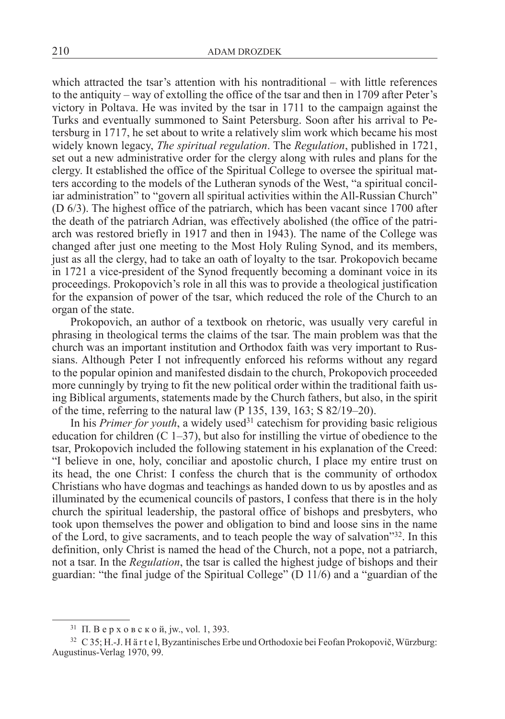which attracted the tsar's attention with his nontraditional – with little references to the antiquity – way of extolling the office of the tsar and then in 1709 after Peter's victory in Poltava. He was invited by the tsar in 1711 to the campaign against the Turks and eventually summoned to Saint Petersburg. Soon after his arrival to Petersburg in 1717, he set about to write a relatively slim work which became his most widely known legacy, *The spiritual regulation*. The *Regulation*, published in 1721, set out a new administrative order for the clergy along with rules and plans for the clergy. It established the office of the Spiritual College to oversee the spiritual matters according to the models of the Lutheran synods of the West, "a spiritual conciliar administration" to "govern all spiritual activities within the All-Russian Church" (D 6/3). The highest office of the patriarch, which has been vacant since 1700 after the death of the patriarch Adrian, was effectively abolished (the office of the patriarch was restored briefly in 1917 and then in 1943). The name of the College was changed after just one meeting to the Most Holy Ruling Synod, and its members, just as all the clergy, had to take an oath of loyalty to the tsar. Prokopovich became in 1721 a vice-president of the Synod frequently becoming a dominant voice in its proceedings. Prokopovich's role in all this was to provide a theological justification for the expansion of power of the tsar, which reduced the role of the Church to an organ of the state.

Prokopovich, an author of a textbook on rhetoric, was usually very careful in phrasing in theological terms the claims of the tsar. The main problem was that the church was an important institution and Orthodox faith was very important to Russians. Although Peter I not infrequently enforced his reforms without any regard to the popular opinion and manifested disdain to the church, Prokopovich proceeded more cunningly by trying to fit the new political order within the traditional faith using Biblical arguments, statements made by the Church fathers, but also, in the spirit of the time, referring to the natural law (P 135, 139, 163; S 82/19–20).

In his *Primer for youth*, a widely used<sup>31</sup> catechism for providing basic religious education for children  $(C 1-37)$ , but also for instilling the virtue of obedience to the tsar, Prokopovich included the following statement in his explanation of the Creed: "I believe in one, holy, conciliar and apostolic church, I place my entire trust on its head, the one Christ: I confess the church that is the community of orthodox Christians who have dogmas and teachings as handed down to us by apostles and as illuminated by the ecumenical councils of pastors, I confess that there is in the holy church the spiritual leadership, the pastoral office of bishops and presbyters, who took upon themselves the power and obligation to bind and loose sins in the name of the Lord, to give sacraments, and to teach people the way of salvation"32. In this definition, only Christ is named the head of the Church, not a pope, not a patriarch, not a tsar. In the *Regulation*, the tsar is called the highest judge of bishops and their guardian: "the final judge of the Spiritual College" (D 11/6) and a "guardian of the

 $31$  П. В е р х о в с к о й, jw., vol. 1, 393.

<sup>32</sup> C 35; H.-J. H ä r t e l, Byzantinisches Erbe und Orthodoxie bei Feofan Prokopovič, Würzburg: Augustinus-Verlag 1970, 99.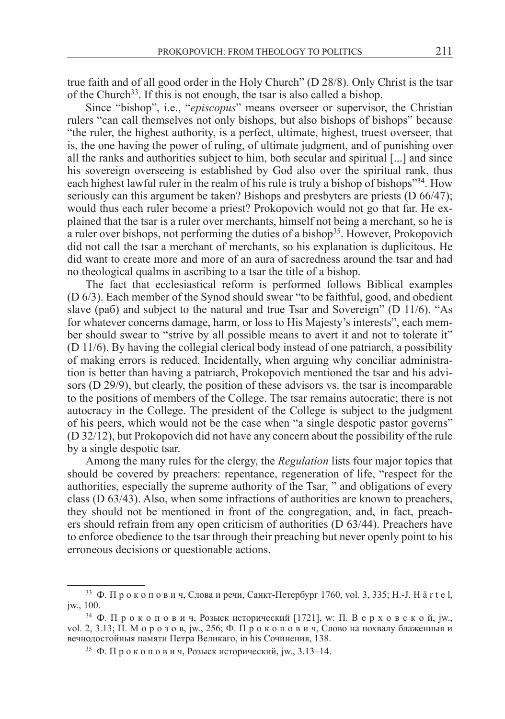true faith and of all good order in the Holy Church" (D 28/8). Only Christ is the tsar of the Church<sup>33</sup>. If this is not enough, the tsar is also called a bishop.

Since "bishop", i.e., "*episcopus*" means overseer or supervisor, the Christian rulers "can call themselves not only bishops, but also bishops of bishops" because "the ruler, the highest authority, is a perfect, ultimate, highest, truest overseer, that is, the one having the power of ruling, of ultimate judgment, and of punishing over all the ranks and authorities subject to him, both secular and spiritual [...] and since his sovereign overseeing is established by God also over the spiritual rank, thus each highest lawful ruler in the realm of his rule is truly a bishop of bishops"34. How seriously can this argument be taken? Bishops and presbyters are priests (D 66/47); would thus each ruler become a priest? Prokopovich would not go that far. He explained that the tsar is a ruler over merchants, himself not being a merchant, so he is  $\alpha$  ruler over bishops, not performing the duties of a bishop<sup>35</sup>. However, Prokopovich did not call the tsar a merchant of merchants, so his explanation is duplicitous. He did want to create more and more of an aura of sacredness around the tsar and had no theological qualms in ascribing to a tsar the title of a bishop.

The fact that ecclesiastical reform is performed follows Biblical examples (D 6/3). Each member of the Synod should swear "to be faithful, good, and obedient slave (раб) and subject to the natural and true Tsar and Sovereign" (D  $11/6$ ). "As for whatever concerns damage, harm, or loss to His Majesty's interests", each member should swear to "strive by all possible means to avert it and not to tolerate it" (D 11/6). By having the collegial clerical body instead of one patriarch, a possibility of making errors is reduced. Incidentally, when arguing why conciliar administration is better than having a patriarch, Prokopovich mentioned the tsar and his advisors (D 29/9), but clearly, the position of these advisors vs. the tsar is incomparable to the positions of members of the College. The tsar remains autocratic; there is not autocracy in the College. The president of the College is subject to the judgment of his peers, which would not be the case when "a single despotic pastor governs" (D 32/12), but Prokopovich did not have any concern about the possibility of the rule by a single despotic tsar.

Among the many rules for the clergy, the *Regulation* lists four major topics that should be covered by preachers: repentance, regeneration of life, "respect for the authorities, especially the supreme authority of the Tsar, " and obligations of every class (D 63/43). Also, when some infractions of authorities are known to preachers, they should not be mentioned in front of the congregation, and, in fact, preachers should refrain from any open criticism of authorities (D 63/44). Preachers have to enforce obedience to the tsar through their preaching but never openly point to his erroneous decisions or questionable actions.

 $33 \Phi$ . Прокопович, Слова и речи, Санкт-Петербург 1760, vol. 3, 335; Н.-Ј. Н ä r t e l, jw., 100.

 $34$  Ф. Прокопович, Розыск исторический [1721], w: П. Верховской, jw., vol. 2, 3.13; П. М о р о з о в, jw., 256; Ф. П р о к о п о в и ч, Слово на похвалу блаженныя и вечнодостойныя памяти Петра Великаго, in his Сочинения, 138.

<sup>&</sup>lt;sup>35</sup> Ф. Прокопович, Розыск исторический, jw., 3.13–14.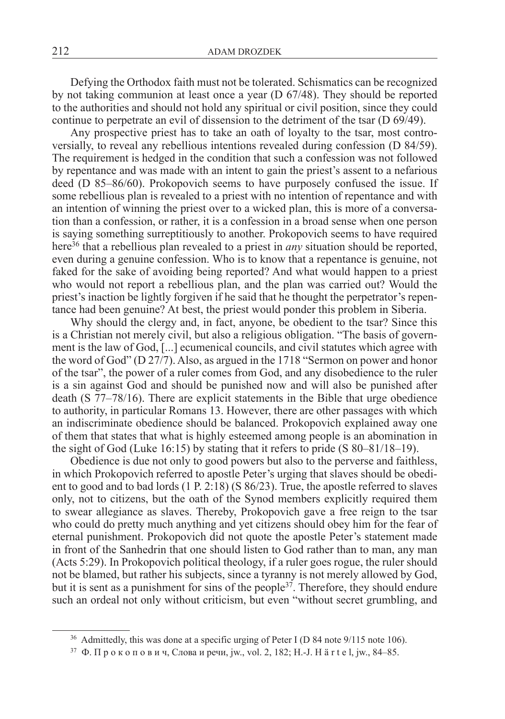Defying the Orthodox faith must not be tolerated. Schismatics can be recognized by not taking communion at least once a year (D 67/48). They should be reported to the authorities and should not hold any spiritual or civil position, since they could continue to perpetrate an evil of dissension to the detriment of the tsar (D 69/49).

Any prospective priest has to take an oath of loyalty to the tsar, most controversially, to reveal any rebellious intentions revealed during confession (D 84/59). The requirement is hedged in the condition that such a confession was not followed by repentance and was made with an intent to gain the priest's assent to a nefarious deed (D 85–86/60). Prokopovich seems to have purposely confused the issue. If some rebellious plan is revealed to a priest with no intention of repentance and with an intention of winning the priest over to a wicked plan, this is more of a conversation than a confession, or rather, it is a confession in a broad sense when one person is saying something surreptitiously to another. Prokopovich seems to have required here<sup>36</sup> that a rebellious plan revealed to a priest in *any* situation should be reported, even during a genuine confession. Who is to know that a repentance is genuine, not faked for the sake of avoiding being reported? And what would happen to a priest who would not report a rebellious plan, and the plan was carried out? Would the priest's inaction be lightly forgiven if he said that he thought the perpetrator's repentance had been genuine? At best, the priest would ponder this problem in Siberia.

Why should the clergy and, in fact, anyone, be obedient to the tsar? Since this is a Christian not merely civil, but also a religious obligation. "The basis of government is the law of God, [...] ecumenical councils, and civil statutes which agree with the word of God" (D 27/7). Also, as argued in the 1718 "Sermon on power and honor of the tsar", the power of a ruler comes from God, and any disobedience to the ruler is a sin against God and should be punished now and will also be punished after death (S 77–78/16). There are explicit statements in the Bible that urge obedience to authority, in particular Romans 13. However, there are other passages with which an indiscriminate obedience should be balanced. Prokopovich explained away one of them that states that what is highly esteemed among people is an abomination in the sight of God (Luke 16:15) by stating that it refers to pride (S 80–81/18–19).

Obedience is due not only to good powers but also to the perverse and faithless, in which Prokopovich referred to apostle Peter's urging that slaves should be obedient to good and to bad lords (1 P. 2:18) (S 86/23). True, the apostle referred to slaves only, not to citizens, but the oath of the Synod members explicitly required them to swear allegiance as slaves. Thereby, Prokopovich gave a free reign to the tsar who could do pretty much anything and yet citizens should obey him for the fear of eternal punishment. Prokopovich did not quote the apostle Peter's statement made in front of the Sanhedrin that one should listen to God rather than to man, any man (Acts 5:29). In Prokopovich political theology, if a ruler goes rogue, the ruler should not be blamed, but rather his subjects, since a tyranny is not merely allowed by God, but it is sent as a punishment for sins of the people<sup>37</sup>. Therefore, they should endure such an ordeal not only without criticism, but even "without secret grumbling, and

<sup>&</sup>lt;sup>36</sup> Admittedly, this was done at a specific urging of Peter I (D 84 note 9/115 note 106).

<sup>37</sup> Ф. П р о к о п о в и ч, Слова и речи, jw., vol. 2, 182; H.-J. H ä r t e l, jw., 84–85.